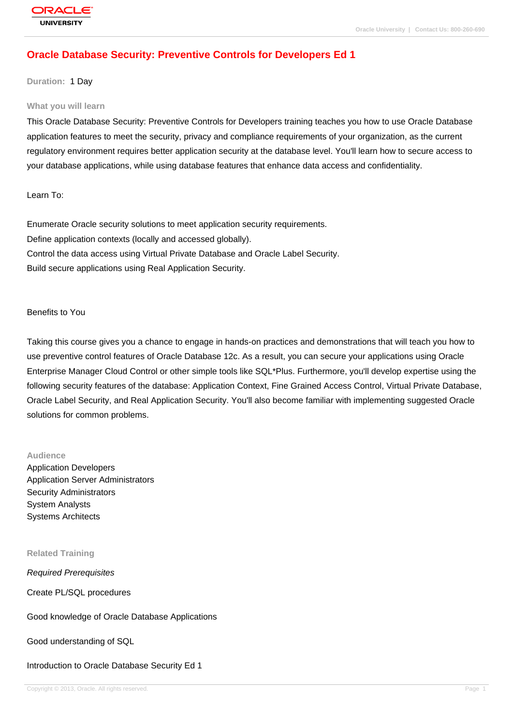## **[Oracle Databas](http://education.oracle.com/pls/web_prod-plq-dad/db_pages.getpage?page_id=3)e Security: Preventive Controls for Developers Ed 1**

#### **Duration:** 1 Day

#### **What you will learn**

This Oracle Database Security: Preventive Controls for Developers training teaches you how to use Oracle Database application features to meet the security, privacy and compliance requirements of your organization, as the current regulatory environment requires better application security at the database level. You'll learn how to secure access to your database applications, while using database features that enhance data access and confidentiality.

Learn To:

Enumerate Oracle security solutions to meet application security requirements. Define application contexts (locally and accessed globally). Control the data access using Virtual Private Database and Oracle Label Security. Build secure applications using Real Application Security.

#### Benefits to You

Taking this course gives you a chance to engage in hands-on practices and demonstrations that will teach you how to use preventive control features of Oracle Database 12c. As a result, you can secure your applications using Oracle Enterprise Manager Cloud Control or other simple tools like SQL\*Plus. Furthermore, you'll develop expertise using the following security features of the database: Application Context, Fine Grained Access Control, Virtual Private Database, Oracle Label Security, and Real Application Security. You'll also become familiar with implementing suggested Oracle solutions for common problems.

#### **Audience**

Application Developers Application Server Administrators Security Administrators System Analysts Systems Architects

#### **Related Training**

Required Prerequisites

Create PL/SQL procedures

Good knowledge of Oracle Database Applications

Good understanding of SQL

Introduction to Oracle Database Security Ed 1